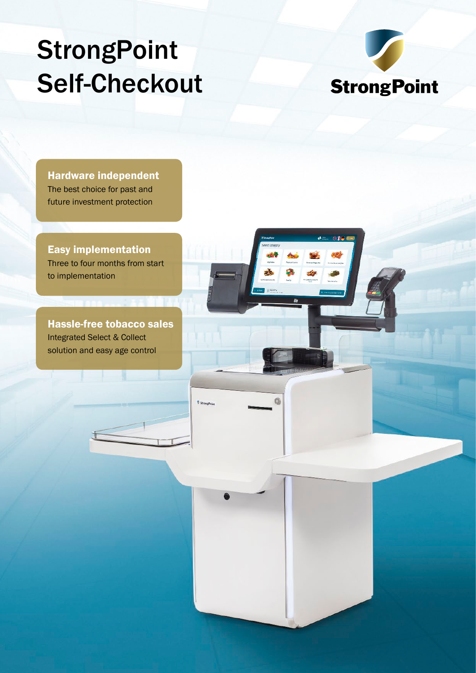# **StrongPoint** Self-Checkout



Hardware independent The best choice for past and future investment protection

Easy implementation Three to four months from start to implementation

Hassle-free tobacco sales Integrated Select & Collect solution and easy age control

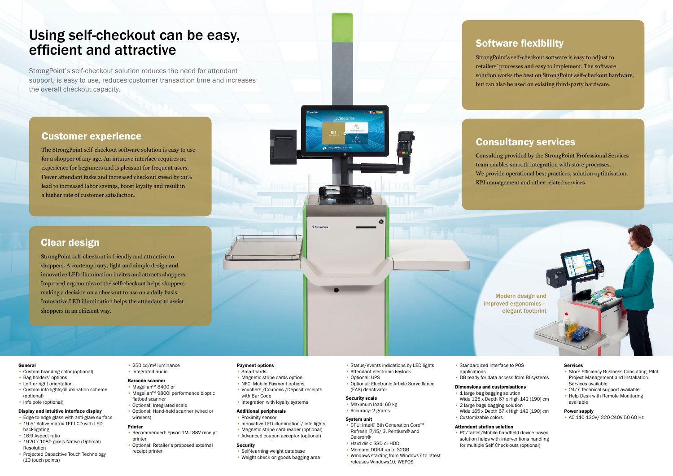## Using self-checkout can be easy, efficient and attractive

StrongPoint's self-checkout solution reduces the need for attendant support, is easy to use, reduces customer transaction time and increases the overall checkout capacity.

## Software flexibility

StrongPoint's self-checkout software is easy to adjust to retailers' processes and easy to implement. The software solution works the best on StrongPoint self-checkout hardware, but can also be used on existing third-party hardware.

## Consultancy services

Consulting provided by the StrongPoint Professional Services team enables smooth integration with store processes. We provide operational best practices, solution optimisation, KPI management and other related services.

## Clear design

StrongPoint self-checkout is friendly and attractive to shoppers. A contemporary, light and simple design and innovative LED illumination invites and attracts shoppers. Improved ergonomics of the self-checkout helps shoppers making a decision on a checkout to use on a daily basis. Innovative LED illumination helps the attendant to assist shoppers in an efficient way.

- Recommended: Epson TM-T88V receipt printer
- Optional: Retailer's proposed external receipt printer
- Self-learning weight database • Weight check on goods bagging area

## Customer experience

The StrongPoint self-checkout software solution is easy to use for a shopper of any age. An intuitive interface requires no experience for beginners and is pleasant for frequent users. Fewer attendant tasks and increased checkout speed by 20% lead to increased labor savings, boost loyalty and result in a higher rate of customer satisfaction.

> • Innovative LED illumination / info lights • Magnetic stripe card reader (optional) • Advanced coupon acceptor (optional)



### General

- Custom branding color (optional)
- Bag holders' options
- Left or right orientation
- Custom info lights/illumination scheme (optional)
- Info pole (optional)

### Display and intuitive interface display

- Edge-to-edge glass with anti-glare surface
- 19.5" Active matrix TFT LCD with LED backlighting
- 16:9 Aspect ratio
- 1920 x 1080 pixels Native (Optimal) Resolution
- Projected Capacitive Touch Technology (10 touch points)
- 250 cd/m² luminance • Integrated audio
- Barcode scanner
- Magellan™ 8400 or • Magellan™ 9800i performance bioptic
- flatbed scanner
- Optional: Integrated scale
- Optional: Hand-held scanner (wired or wireless)

#### Printer

Payment options • Smartcards

with Bar Code

**Security** 

• Magnetic stripe cards option • NFC, Mobile Payment options • Vouchers /Coupons /Deposit receipts

• Integration with loyalty systems

Additional peripherals • Proximity sensor

- Status/events indications by LED lights
- Attendant electronic keylock • Optional: UPS
- Optional: Electronic Article Surveillance (EAS) deactivator

#### Security scale

- Maximum load: 60 kg
- Accuracy: 2 grams

#### System unit

- CPU: Intel® 6th Generation Core™ Refresh i7/i5/i3, Pentium® and Celeron®
- Hard disk: SSD or HDD
- Memory: DDR4 up to 32GB
- Windows starting from Windows7 to latest releases Windows10, WEPOS
- Standardized interface to POS applications
- 

• DB ready for data access from BI systems

#### Dimensions and customisations • 1 large bag bagging solution

- Wide 125 x Depth 67 x High 142 (190) cm
- 2 large bags bagging solution
- Customizable colors

Wide 165 x Depth 67 x High 142 (190) cm

### Attendant station solution

• PC/Tablet/Mobile handheld device based solution helps with interventions handling for multiple Self Check-outs (optional)

#### Services

- Store Efficiency Business Consulting, Pilot Project Management and Installation Services available
- 24/7 Technical support available
- Help Desk with Remote Monitoring available

#### Power supply

• AC 110-130V/ 220-240V 50-60 Hz